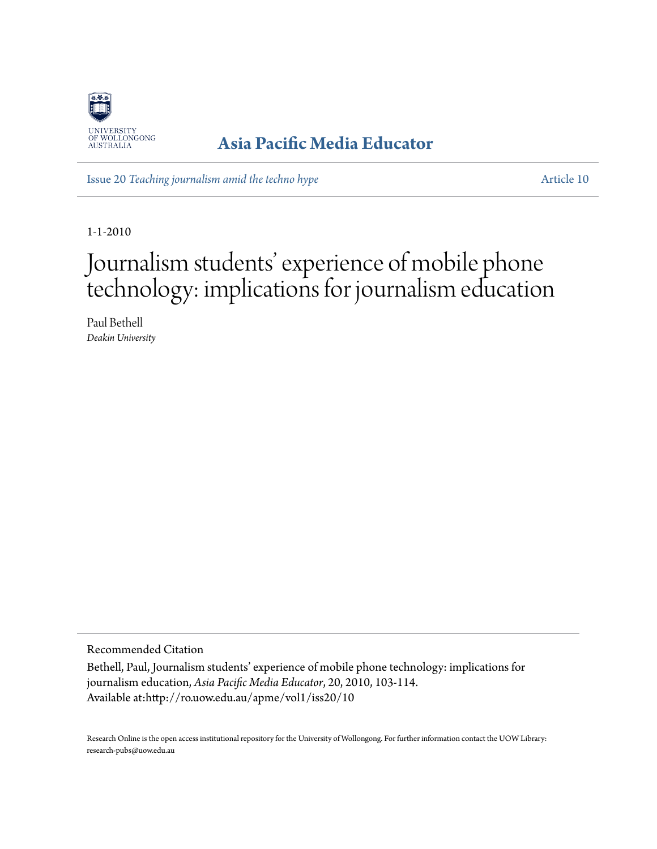

### **[Asia Pacific Media Educator](http://ro.uow.edu.au/apme)**

Issue 20 *[Teaching journalism amid the techno hype](http://ro.uow.edu.au/apme/vol1/iss20)* [Article 10](http://ro.uow.edu.au/apme/vol1/iss20/10)

1-1-2010

# Journalism students' experience of mobile phone technology: implications for journalism education

Paul Bethell *Deakin University*

Recommended Citation

Bethell, Paul, Journalism students' experience of mobile phone technology: implications for journalism education, *Asia Pacific Media Educator*, 20, 2010, 103-114. Available at:http://ro.uow.edu.au/apme/vol1/iss20/10

Research Online is the open access institutional repository for the University of Wollongong. For further information contact the UOW Library: research-pubs@uow.edu.au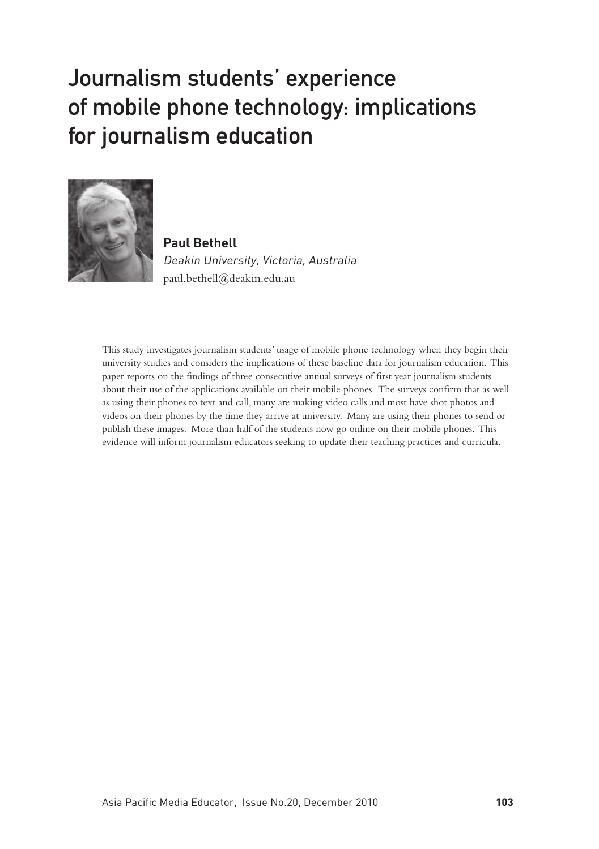## Journalism students' experience of mobile phone technology: implications for journalism education



**Paul Bethell** Deakin University, Victoria, Australia paul.bethell@deakin.edu.au

This study investigates journalism students' usage of mobile phone technology when they begin their university studies and considers the implications of these baseline data for journalism education. This paper reports on the findings of three consecutive annual surveys of first year journalism students about their use of the applications available on their mobile phones. The surveys confirm that as well as using their phones to text and call, many are making video calls and most have shot photos and videos on their phones by the time they arrive at university. Many are using their phones to send or publish these images. More than half of the students now go online on their mobile phones. This evidence will inform journalism educators seeking to update their teaching practices and curricula.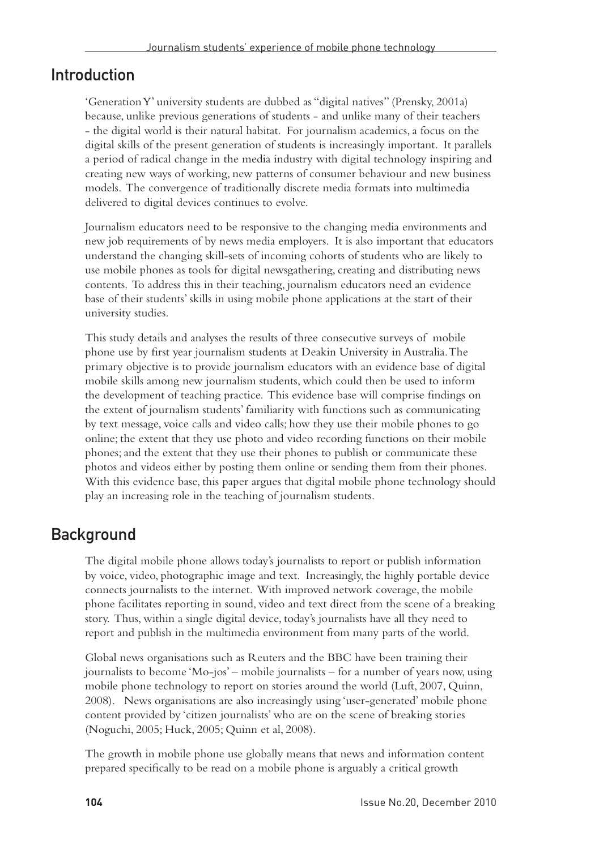#### Introduction

'Generation Y' university students are dubbed as "digital natives" (Prensky, 2001a) because, unlike previous generations of students - and unlike many of their teachers - the digital world is their natural habitat. For journalism academics, a focus on the digital skills of the present generation of students is increasingly important. It parallels a period of radical change in the media industry with digital technology inspiring and creating new ways of working, new patterns of consumer behaviour and new business models. The convergence of traditionally discrete media formats into multimedia delivered to digital devices continues to evolve.

Journalism educators need to be responsive to the changing media environments and new job requirements of by news media employers. It is also important that educators understand the changing skill-sets of incoming cohorts of students who are likely to use mobile phones as tools for digital newsgathering, creating and distributing news contents. To address this in their teaching, journalism educators need an evidence base of their students' skills in using mobile phone applications at the start of their university studies.

This study details and analyses the results of three consecutive surveys of mobile phone use by first year journalism students at Deakin University in Australia. The primary objective is to provide journalism educators with an evidence base of digital mobile skills among new journalism students, which could then be used to inform the development of teaching practice. This evidence base will comprise findings on the extent of journalism students' familiarity with functions such as communicating by text message, voice calls and video calls; how they use their mobile phones to go online; the extent that they use photo and video recording functions on their mobile phones; and the extent that they use their phones to publish or communicate these photos and videos either by posting them online or sending them from their phones. With this evidence base, this paper argues that digital mobile phone technology should play an increasing role in the teaching of journalism students.

#### Background

The digital mobile phone allows today's journalists to report or publish information by voice, video, photographic image and text. Increasingly, the highly portable device connects journalists to the internet. With improved network coverage, the mobile phone facilitates reporting in sound, video and text direct from the scene of a breaking story. Thus, within a single digital device, today's journalists have all they need to report and publish in the multimedia environment from many parts of the world.

Global news organisations such as Reuters and the BBC have been training their journalists to become 'Mo-jos' – mobile journalists – for a number of years now, using mobile phone technology to report on stories around the world (Luft, 2007, Quinn, 2008). News organisations are also increasingly using 'user-generated' mobile phone content provided by 'citizen journalists' who are on the scene of breaking stories (Noguchi, 2005; Huck, 2005; Quinn et al, 2008).

The growth in mobile phone use globally means that news and information content prepared specifically to be read on a mobile phone is arguably a critical growth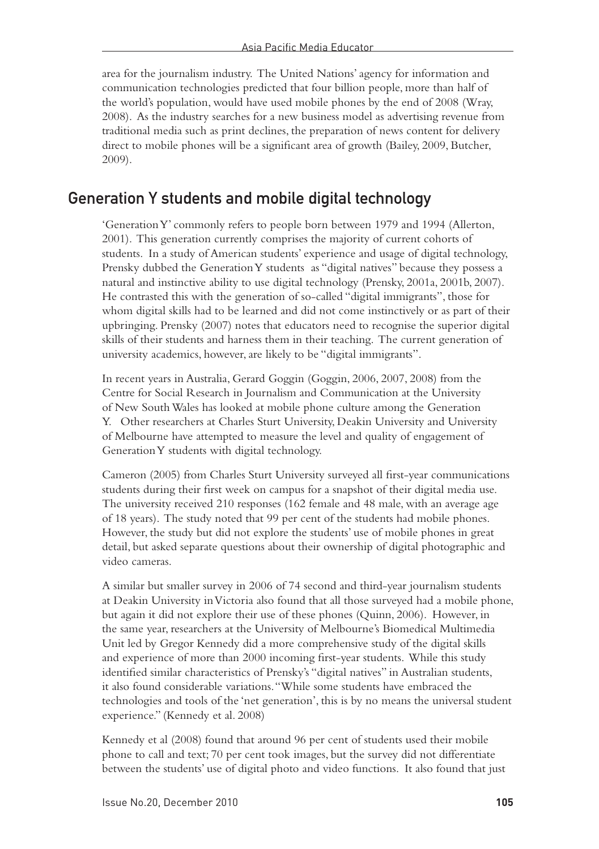area for the journalism industry. The United Nations' agency for information and communication technologies predicted that four billion people, more than half of the world's population, would have used mobile phones by the end of 2008 (Wray, 2008). As the industry searches for a new business model as advertising revenue from traditional media such as print declines, the preparation of news content for delivery direct to mobile phones will be a significant area of growth (Bailey, 2009, Butcher, 2009).

#### Generation Y students and mobile digital technology

'Generation Y' commonly refers to people born between 1979 and 1994 (Allerton, 2001). This generation currently comprises the majority of current cohorts of students. In a study of American students' experience and usage of digital technology, Prensky dubbed the Generation Y students as "digital natives" because they possess a natural and instinctive ability to use digital technology (Prensky, 2001a, 2001b, 2007). He contrasted this with the generation of so-called "digital immigrants", those for whom digital skills had to be learned and did not come instinctively or as part of their upbringing. Prensky (2007) notes that educators need to recognise the superior digital skills of their students and harness them in their teaching. The current generation of university academics, however, are likely to be "digital immigrants".

In recent years in Australia, Gerard Goggin (Goggin, 2006, 2007, 2008) from the Centre for Social Research in Journalism and Communication at the University of New South Wales has looked at mobile phone culture among the Generation Y. Other researchers at Charles Sturt University, Deakin University and University of Melbourne have attempted to measure the level and quality of engagement of Generation Y students with digital technology.

Cameron (2005) from Charles Sturt University surveyed all first-year communications students during their first week on campus for a snapshot of their digital media use. The university received 210 responses (162 female and 48 male, with an average age of 18 years). The study noted that 99 per cent of the students had mobile phones. However, the study but did not explore the students' use of mobile phones in great detail, but asked separate questions about their ownership of digital photographic and video cameras.

A similar but smaller survey in 2006 of 74 second and third-year journalism students at Deakin University in Victoria also found that all those surveyed had a mobile phone, but again it did not explore their use of these phones (Quinn, 2006). However, in the same year, researchers at the University of Melbourne's Biomedical Multimedia Unit led by Gregor Kennedy did a more comprehensive study of the digital skills and experience of more than 2000 incoming first-year students. While this study identified similar characteristics of Prensky's "digital natives" in Australian students, it also found considerable variations. "While some students have embraced the technologies and tools of the 'net generation', this is by no means the universal student experience." (Kennedy et al. 2008)

Kennedy et al (2008) found that around 96 per cent of students used their mobile phone to call and text; 70 per cent took images, but the survey did not differentiate between the students' use of digital photo and video functions. It also found that just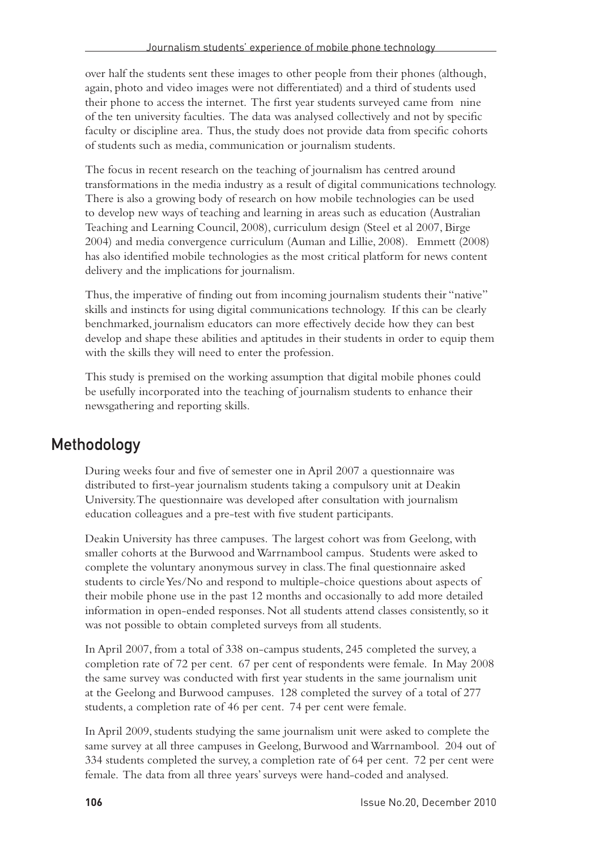over half the students sent these images to other people from their phones (although, again, photo and video images were not differentiated) and a third of students used their phone to access the internet. The first year students surveyed came from nine of the ten university faculties. The data was analysed collectively and not by specific faculty or discipline area. Thus, the study does not provide data from specific cohorts of students such as media, communication or journalism students.

The focus in recent research on the teaching of journalism has centred around transformations in the media industry as a result of digital communications technology. There is also a growing body of research on how mobile technologies can be used to develop new ways of teaching and learning in areas such as education (Australian Teaching and Learning Council, 2008), curriculum design (Steel et al 2007, Birge 2004) and media convergence curriculum (Auman and Lillie, 2008). Emmett (2008) has also identified mobile technologies as the most critical platform for news content delivery and the implications for journalism.

Thus, the imperative of finding out from incoming journalism students their "native" skills and instincts for using digital communications technology. If this can be clearly benchmarked, journalism educators can more effectively decide how they can best develop and shape these abilities and aptitudes in their students in order to equip them with the skills they will need to enter the profession.

This study is premised on the working assumption that digital mobile phones could be usefully incorporated into the teaching of journalism students to enhance their newsgathering and reporting skills.

#### Methodology

During weeks four and five of semester one in April 2007 a questionnaire was distributed to first-year journalism students taking a compulsory unit at Deakin University. The questionnaire was developed after consultation with journalism education colleagues and a pre-test with five student participants.

Deakin University has three campuses. The largest cohort was from Geelong, with smaller cohorts at the Burwood and Warrnambool campus. Students were asked to complete the voluntary anonymous survey in class. The final questionnaire asked students to circle Yes/No and respond to multiple-choice questions about aspects of their mobile phone use in the past 12 months and occasionally to add more detailed information in open-ended responses. Not all students attend classes consistently, so it was not possible to obtain completed surveys from all students.

In April 2007, from a total of 338 on-campus students, 245 completed the survey, a completion rate of 72 per cent. 67 per cent of respondents were female. In May 2008 the same survey was conducted with first year students in the same journalism unit at the Geelong and Burwood campuses. 128 completed the survey of a total of 277 students, a completion rate of 46 per cent. 74 per cent were female.

In April 2009, students studying the same journalism unit were asked to complete the same survey at all three campuses in Geelong, Burwood and Warrnambool. 204 out of 334 students completed the survey, a completion rate of 64 per cent. 72 per cent were female. The data from all three years' surveys were hand-coded and analysed.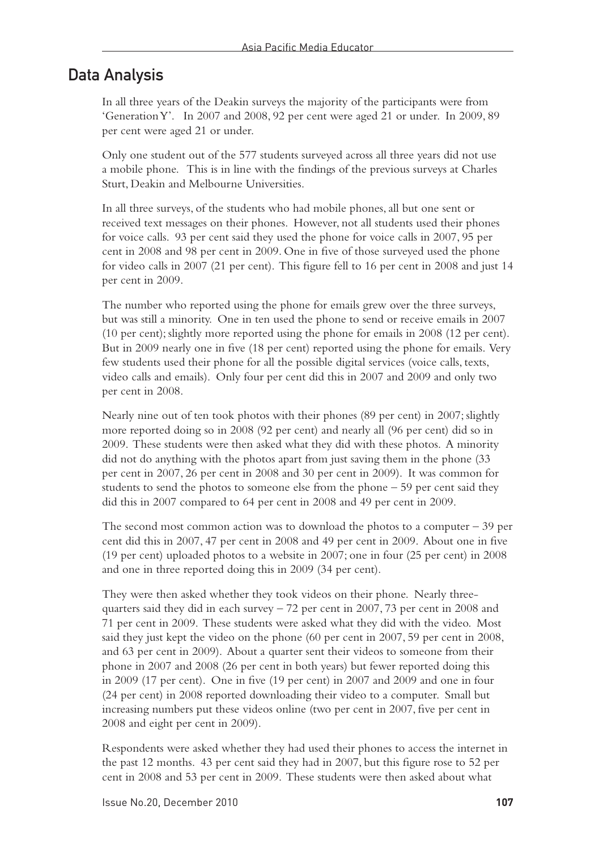#### Data Analysis

In all three years of the Deakin surveys the majority of the participants were from 'Generation Y'. In 2007 and 2008, 92 per cent were aged 21 or under. In 2009, 89 per cent were aged 21 or under.

Only one student out of the 577 students surveyed across all three years did not use a mobile phone. This is in line with the findings of the previous surveys at Charles Sturt, Deakin and Melbourne Universities.

In all three surveys, of the students who had mobile phones, all but one sent or received text messages on their phones. However, not all students used their phones for voice calls. 93 per cent said they used the phone for voice calls in 2007, 95 per cent in 2008 and 98 per cent in 2009. One in five of those surveyed used the phone for video calls in 2007 (21 per cent). This figure fell to 16 per cent in 2008 and just 14 per cent in 2009.

The number who reported using the phone for emails grew over the three surveys, but was still a minority. One in ten used the phone to send or receive emails in 2007 (10 per cent); slightly more reported using the phone for emails in 2008 (12 per cent). But in 2009 nearly one in five (18 per cent) reported using the phone for emails. Very few students used their phone for all the possible digital services (voice calls, texts, video calls and emails). Only four per cent did this in 2007 and 2009 and only two per cent in 2008.

Nearly nine out of ten took photos with their phones (89 per cent) in 2007; slightly more reported doing so in 2008 (92 per cent) and nearly all (96 per cent) did so in 2009. These students were then asked what they did with these photos. A minority did not do anything with the photos apart from just saving them in the phone (33 per cent in 2007, 26 per cent in 2008 and 30 per cent in 2009). It was common for students to send the photos to someone else from the phone  $-59$  per cent said they did this in 2007 compared to 64 per cent in 2008 and 49 per cent in 2009.

The second most common action was to download the photos to a computer  $-39$  per cent did this in 2007, 47 per cent in 2008 and 49 per cent in 2009. About one in five (19 per cent) uploaded photos to a website in 2007; one in four (25 per cent) in 2008 and one in three reported doing this in 2009 (34 per cent).

They were then asked whether they took videos on their phone. Nearly threequarters said they did in each survey  $-72$  per cent in 2007, 73 per cent in 2008 and 71 per cent in 2009. These students were asked what they did with the video. Most said they just kept the video on the phone (60 per cent in 2007, 59 per cent in 2008, and 63 per cent in 2009). About a quarter sent their videos to someone from their phone in 2007 and 2008 (26 per cent in both years) but fewer reported doing this in 2009 (17 per cent). One in five (19 per cent) in 2007 and 2009 and one in four (24 per cent) in 2008 reported downloading their video to a computer. Small but increasing numbers put these videos online (two per cent in 2007, five per cent in 2008 and eight per cent in 2009).

Respondents were asked whether they had used their phones to access the internet in the past 12 months. 43 per cent said they had in 2007, but this figure rose to 52 per cent in 2008 and 53 per cent in 2009. These students were then asked about what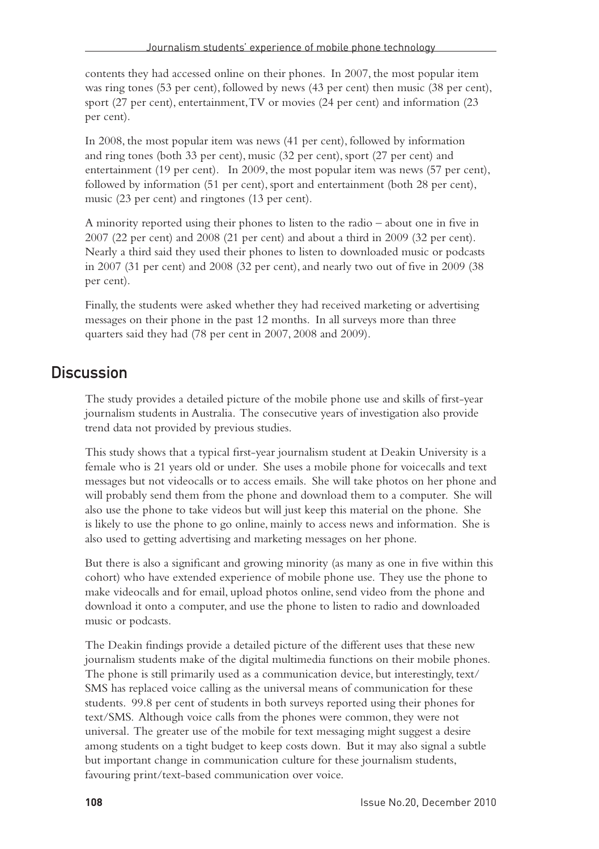contents they had accessed online on their phones. In 2007, the most popular item was ring tones (53 per cent), followed by news (43 per cent) then music (38 per cent), sport (27 per cent), entertainment, TV or movies (24 per cent) and information (23 per cent).

In 2008, the most popular item was news (41 per cent), followed by information and ring tones (both 33 per cent), music (32 per cent), sport (27 per cent) and entertainment (19 per cent). In 2009, the most popular item was news (57 per cent), followed by information (51 per cent), sport and entertainment (both 28 per cent), music (23 per cent) and ringtones (13 per cent).

A minority reported using their phones to listen to the radio – about one in five in 2007 (22 per cent) and 2008 (21 per cent) and about a third in 2009 (32 per cent). Nearly a third said they used their phones to listen to downloaded music or podcasts in 2007 (31 per cent) and 2008 (32 per cent), and nearly two out of five in 2009 (38 per cent).

Finally, the students were asked whether they had received marketing or advertising messages on their phone in the past 12 months. In all surveys more than three quarters said they had (78 per cent in 2007, 2008 and 2009).

#### **Discussion**

The study provides a detailed picture of the mobile phone use and skills of first-year journalism students in Australia. The consecutive years of investigation also provide trend data not provided by previous studies.

This study shows that a typical first-year journalism student at Deakin University is a female who is 21 years old or under. She uses a mobile phone for voicecalls and text messages but not videocalls or to access emails. She will take photos on her phone and will probably send them from the phone and download them to a computer. She will also use the phone to take videos but will just keep this material on the phone. She is likely to use the phone to go online, mainly to access news and information. She is also used to getting advertising and marketing messages on her phone.

But there is also a significant and growing minority (as many as one in five within this cohort) who have extended experience of mobile phone use. They use the phone to make videocalls and for email, upload photos online, send video from the phone and download it onto a computer, and use the phone to listen to radio and downloaded music or podcasts.

The Deakin findings provide a detailed picture of the different uses that these new journalism students make of the digital multimedia functions on their mobile phones. The phone is still primarily used as a communication device, but interestingly, text/ SMS has replaced voice calling as the universal means of communication for these students. 99.8 per cent of students in both surveys reported using their phones for text/SMS. Although voice calls from the phones were common, they were not universal. The greater use of the mobile for text messaging might suggest a desire among students on a tight budget to keep costs down. But it may also signal a subtle but important change in communication culture for these journalism students, favouring print/text-based communication over voice.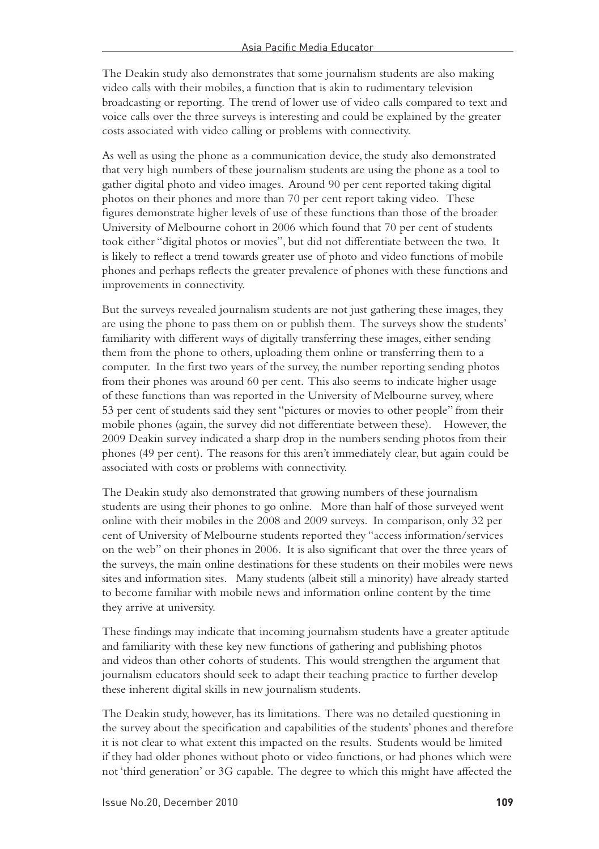The Deakin study also demonstrates that some journalism students are also making video calls with their mobiles, a function that is akin to rudimentary television broadcasting or reporting. The trend of lower use of video calls compared to text and voice calls over the three surveys is interesting and could be explained by the greater costs associated with video calling or problems with connectivity.

As well as using the phone as a communication device, the study also demonstrated that very high numbers of these journalism students are using the phone as a tool to gather digital photo and video images. Around 90 per cent reported taking digital photos on their phones and more than 70 per cent report taking video. These figures demonstrate higher levels of use of these functions than those of the broader University of Melbourne cohort in 2006 which found that 70 per cent of students took either "digital photos or movies", but did not differentiate between the two. It is likely to reflect a trend towards greater use of photo and video functions of mobile phones and perhaps reflects the greater prevalence of phones with these functions and improvements in connectivity.

But the surveys revealed journalism students are not just gathering these images, they are using the phone to pass them on or publish them. The surveys show the students' familiarity with different ways of digitally transferring these images, either sending them from the phone to others, uploading them online or transferring them to a computer. In the first two years of the survey, the number reporting sending photos from their phones was around 60 per cent. This also seems to indicate higher usage of these functions than was reported in the University of Melbourne survey, where 53 per cent of students said they sent "pictures or movies to other people" from their mobile phones (again, the survey did not differentiate between these). However, the 2009 Deakin survey indicated a sharp drop in the numbers sending photos from their phones (49 per cent). The reasons for this aren't immediately clear, but again could be associated with costs or problems with connectivity.

The Deakin study also demonstrated that growing numbers of these journalism students are using their phones to go online. More than half of those surveyed went online with their mobiles in the 2008 and 2009 surveys. In comparison, only 32 per cent of University of Melbourne students reported they "access information/services on the web" on their phones in 2006. It is also significant that over the three years of the surveys, the main online destinations for these students on their mobiles were news sites and information sites. Many students (albeit still a minority) have already started to become familiar with mobile news and information online content by the time they arrive at university.

These findings may indicate that incoming journalism students have a greater aptitude and familiarity with these key new functions of gathering and publishing photos and videos than other cohorts of students. This would strengthen the argument that journalism educators should seek to adapt their teaching practice to further develop these inherent digital skills in new journalism students.

The Deakin study, however, has its limitations. There was no detailed questioning in the survey about the specification and capabilities of the students' phones and therefore it is not clear to what extent this impacted on the results. Students would be limited if they had older phones without photo or video functions, or had phones which were not 'third generation' or 3G capable. The degree to which this might have affected the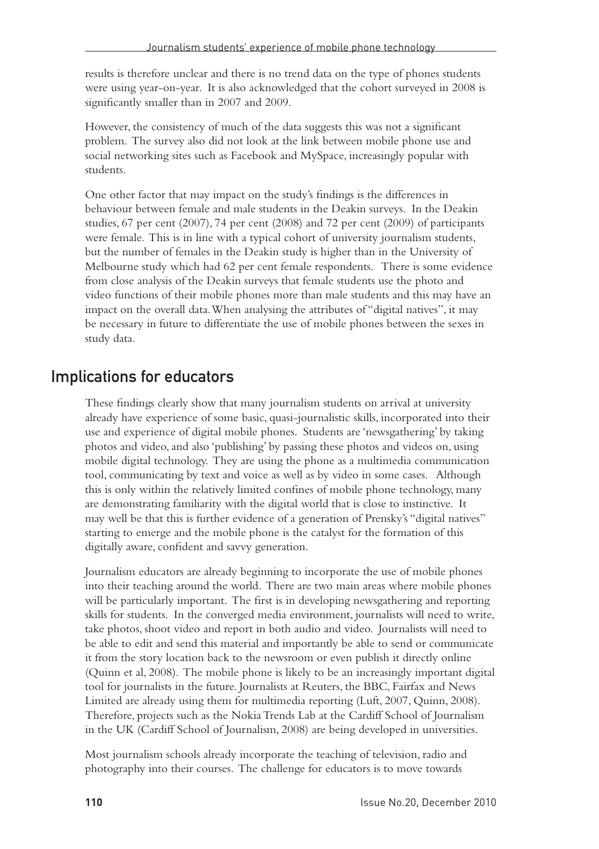results is therefore unclear and there is no trend data on the type of phones students were using year-on-year. It is also acknowledged that the cohort surveyed in 2008 is significantly smaller than in 2007 and 2009.

However, the consistency of much of the data suggests this was not a significant problem. The survey also did not look at the link between mobile phone use and social networking sites such as Facebook and MySpace, increasingly popular with students.

One other factor that may impact on the study's findings is the differences in behaviour between female and male students in the Deakin surveys. In the Deakin studies, 67 per cent (2007), 74 per cent (2008) and 72 per cent (2009) of participants were female. This is in line with a typical cohort of university journalism students, but the number of females in the Deakin study is higher than in the University of Melbourne study which had 62 per cent female respondents. There is some evidence from close analysis of the Deakin surveys that female students use the photo and video functions of their mobile phones more than male students and this may have an impact on the overall data. When analysing the attributes of "digital natives", it may be necessary in future to differentiate the use of mobile phones between the sexes in study data.

#### Implications for educators

These findings clearly show that many journalism students on arrival at university already have experience of some basic, quasi-journalistic skills, incorporated into their use and experience of digital mobile phones. Students are 'newsgathering' by taking photos and video, and also 'publishing' by passing these photos and videos on, using mobile digital technology. They are using the phone as a multimedia communication tool, communicating by text and voice as well as by video in some cases. Although this is only within the relatively limited confines of mobile phone technology, many are demonstrating familiarity with the digital world that is close to instinctive. It may well be that this is further evidence of a generation of Prensky's "digital natives" starting to emerge and the mobile phone is the catalyst for the formation of this digitally aware, confident and savvy generation.

Journalism educators are already beginning to incorporate the use of mobile phones into their teaching around the world. There are two main areas where mobile phones will be particularly important. The first is in developing newsgathering and reporting skills for students. In the converged media environment, journalists will need to write, take photos, shoot video and report in both audio and video. Journalists will need to be able to edit and send this material and importantly be able to send or communicate it from the story location back to the newsroom or even publish it directly online (Quinn et al, 2008). The mobile phone is likely to be an increasingly important digital tool for journalists in the future. Journalists at Reuters, the BBC, Fairfax and News Limited are already using them for multimedia reporting (Luft, 2007, Quinn, 2008). Therefore, projects such as the Nokia Trends Lab at the Cardiff School of Journalism in the UK (Cardiff School of Journalism, 2008) are being developed in universities.

Most journalism schools already incorporate the teaching of television, radio and photography into their courses. The challenge for educators is to move towards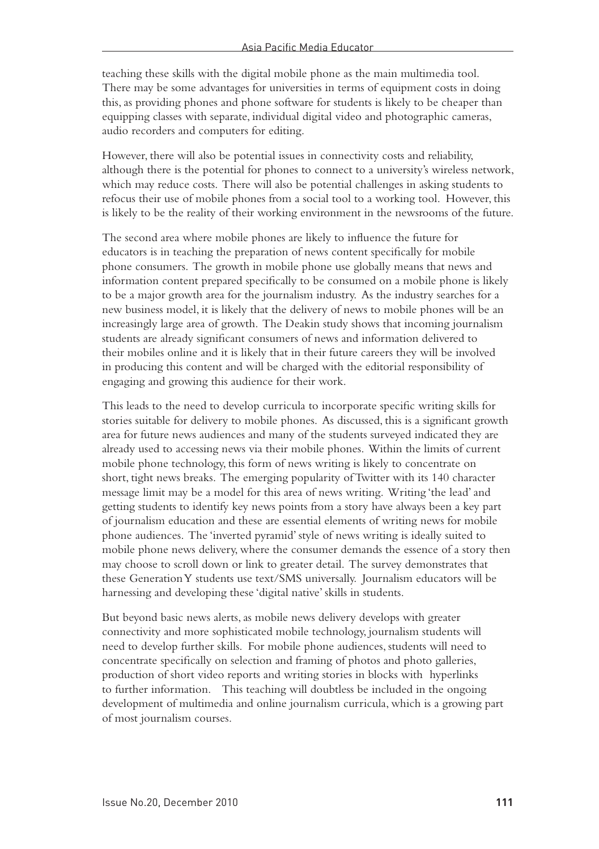teaching these skills with the digital mobile phone as the main multimedia tool. There may be some advantages for universities in terms of equipment costs in doing this, as providing phones and phone software for students is likely to be cheaper than equipping classes with separate, individual digital video and photographic cameras, audio recorders and computers for editing.

However, there will also be potential issues in connectivity costs and reliability, although there is the potential for phones to connect to a university's wireless network, which may reduce costs. There will also be potential challenges in asking students to refocus their use of mobile phones from a social tool to a working tool. However, this is likely to be the reality of their working environment in the newsrooms of the future.

The second area where mobile phones are likely to influence the future for educators is in teaching the preparation of news content specifically for mobile phone consumers. The growth in mobile phone use globally means that news and information content prepared specifically to be consumed on a mobile phone is likely to be a major growth area for the journalism industry. As the industry searches for a new business model, it is likely that the delivery of news to mobile phones will be an increasingly large area of growth. The Deakin study shows that incoming journalism students are already significant consumers of news and information delivered to their mobiles online and it is likely that in their future careers they will be involved in producing this content and will be charged with the editorial responsibility of engaging and growing this audience for their work.

This leads to the need to develop curricula to incorporate specific writing skills for stories suitable for delivery to mobile phones. As discussed, this is a significant growth area for future news audiences and many of the students surveyed indicated they are already used to accessing news via their mobile phones. Within the limits of current mobile phone technology, this form of news writing is likely to concentrate on short, tight news breaks. The emerging popularity of Twitter with its 140 character message limit may be a model for this area of news writing. Writing 'the lead' and getting students to identify key news points from a story have always been a key part of journalism education and these are essential elements of writing news for mobile phone audiences. The 'inverted pyramid' style of news writing is ideally suited to mobile phone news delivery, where the consumer demands the essence of a story then may choose to scroll down or link to greater detail. The survey demonstrates that these Generation Y students use text/SMS universally. Journalism educators will be harnessing and developing these 'digital native' skills in students.

But beyond basic news alerts, as mobile news delivery develops with greater connectivity and more sophisticated mobile technology, journalism students will need to develop further skills. For mobile phone audiences, students will need to concentrate specifically on selection and framing of photos and photo galleries, production of short video reports and writing stories in blocks with hyperlinks to further information. This teaching will doubtless be included in the ongoing development of multimedia and online journalism curricula, which is a growing part of most journalism courses.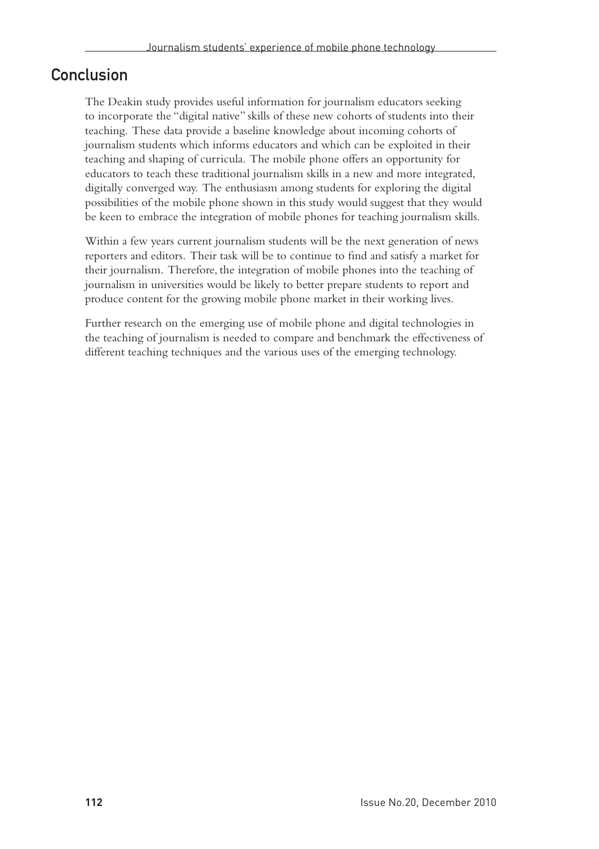#### **Conclusion**

The Deakin study provides useful information for journalism educators seeking to incorporate the "digital native" skills of these new cohorts of students into their teaching. These data provide a baseline knowledge about incoming cohorts of journalism students which informs educators and which can be exploited in their teaching and shaping of curricula. The mobile phone offers an opportunity for educators to teach these traditional journalism skills in a new and more integrated, digitally converged way. The enthusiasm among students for exploring the digital possibilities of the mobile phone shown in this study would suggest that they would be keen to embrace the integration of mobile phones for teaching journalism skills.

Within a few years current journalism students will be the next generation of news reporters and editors. Their task will be to continue to find and satisfy a market for their journalism. Therefore, the integration of mobile phones into the teaching of journalism in universities would be likely to better prepare students to report and produce content for the growing mobile phone market in their working lives.

Further research on the emerging use of mobile phone and digital technologies in the teaching of journalism is needed to compare and benchmark the effectiveness of different teaching techniques and the various uses of the emerging technology.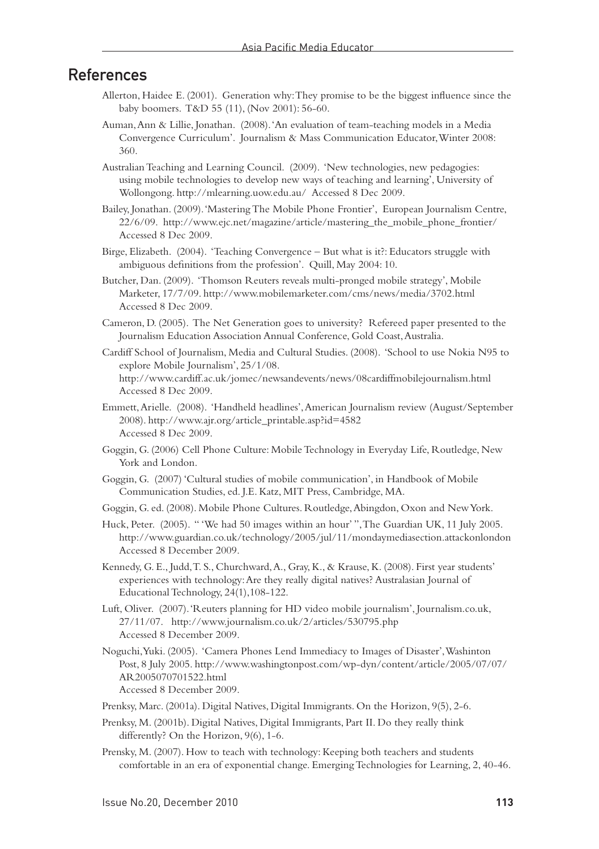#### References

- Allerton, Haidee E. (2001). Generation why: They promise to be the biggest influence since the baby boomers. T&D 55 (11), (Nov 2001): 56-60.
- Auman, Ann & Lillie, Jonathan. (2008). 'An evaluation of team-teaching models in a Media Convergence Curriculum'. Journalism & Mass Communication Educator, Winter 2008: 360.
- Australian Teaching and Learning Council. (2009). 'New technologies, new pedagogies: using mobile technologies to develop new ways of teaching and learning', University of Wollongong. http://mlearning.uow.edu.au/ Accessed 8 Dec 2009.
- Bailey, Jonathan. (2009). 'Mastering The Mobile Phone Frontier', European Journalism Centre, 22/6/09. http://www.ejc.net/magazine/article/mastering\_the\_mobile\_phone\_frontier/ Accessed 8 Dec 2009.
- Birge, Elizabeth. (2004). 'Teaching Convergence But what is it?: Educators struggle with ambiguous definitions from the profession'. Quill, May 2004: 10.
- Butcher, Dan. (2009). 'Thomson Reuters reveals multi-pronged mobile strategy', Mobile Marketer, 17/7/09. http://www.mobilemarketer.com/cms/news/media/3702.html Accessed 8 Dec 2009.
- Cameron, D. (2005). The Net Generation goes to university? Refereed paper presented to the Journalism Education Association Annual Conference, Gold Coast, Australia.
- Cardiff School of Journalism, Media and Cultural Studies. (2008). 'School to use Nokia N95 to explore Mobile Journalism', 25/1/08. http://www.cardiff.ac.uk/jomec/newsandevents/news/08cardiffmobilejournalism.html Accessed 8 Dec 2009.
- Emmett, Arielle. (2008). 'Handheld headlines', American Journalism review (August/September 2008). http://www.ajr.org/article\_printable.asp?id=4582 Accessed 8 Dec 2009.
- Goggin, G. (2006) Cell Phone Culture: Mobile Technology in Everyday Life, Routledge, New York and London.
- Goggin, G. (2007) 'Cultural studies of mobile communication', in Handbook of Mobile Communication Studies, ed. J.E. Katz, MIT Press, Cambridge, MA.
- Goggin, G. ed. (2008). Mobile Phone Cultures. Routledge, Abingdon, Oxon and New York.
- Huck, Peter. (2005). " 'We had 50 images within an hour' ", The Guardian UK, 11 July 2005. http://www.guardian.co.uk/technology/2005/jul/11/mondaymediasection.attackonlondon Accessed 8 December 2009.
- Kennedy, G. E., Judd, T. S., Churchward, A., Gray, K., & Krause, K. (2008). First year students' experiences with technology: Are they really digital natives? Australasian Journal of Educational Technology, 24(1),108-122.
- Luft, Oliver. (2007). 'Reuters planning for HD video mobile journalism', Journalism.co.uk, 27/11/07. http://www.journalism.co.uk/2/articles/530795.php Accessed 8 December 2009.
- Noguchi, Yuki. (2005). 'Camera Phones Lend Immediacy to Images of Disaster', Washinton Post, 8 July 2005. http://www.washingtonpost.com/wp-dyn/content/article/2005/07/07/ AR2005070701522.html Accessed 8 December 2009.
- Prenksy, Marc. (2001a). Digital Natives, Digital Immigrants. On the Horizon, 9(5), 2-6.
- Prenksy, M. (2001b). Digital Natives, Digital Immigrants, Part II. Do they really think differently? On the Horizon, 9(6), 1-6.
- Prensky, M. (2007). How to teach with technology: Keeping both teachers and students comfortable in an era of exponential change. Emerging Technologies for Learning, 2, 40-46.